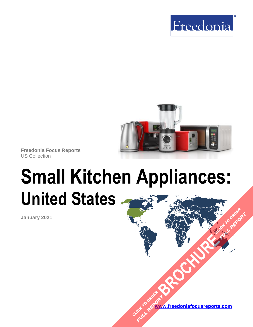



**Freedonia Focus Reports** US Collection

# **Small Kitchen Appliances: United States [BROCHURE](https://www.freedoniafocusreports.com/Small-Kitchen-Appliances-United-States-FF90029/?progid=89541) CLICK TO ORDER**

**January 2021**

**[www.freedoniafocusreports.com](https://www.freedoniafocusreports.com/redirect.asp?progid=89534&url=/)** CLICK TO ORDER **FULL REPORT** 

**FULL REPORT**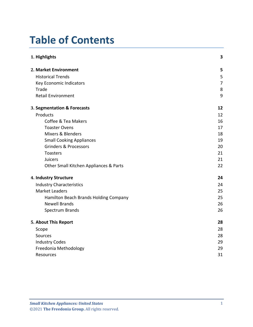# **Table of Contents**

| 1. Highlights                          | 3              |
|----------------------------------------|----------------|
| 2. Market Environment                  | 5              |
| <b>Historical Trends</b>               | 5              |
| Key Economic Indicators                | $\overline{7}$ |
| Trade                                  | 8              |
| <b>Retail Environment</b>              | 9              |
| 3. Segmentation & Forecasts            | 12             |
| Products                               | 12             |
| Coffee & Tea Makers                    | 16             |
| <b>Toaster Ovens</b>                   | 17             |
| Mixers & Blenders                      | 18             |
| <b>Small Cooking Appliances</b>        | 19             |
| <b>Grinders &amp; Processors</b>       | 20             |
| Toasters                               | 21             |
| Juicers                                | 21             |
| Other Small Kitchen Appliances & Parts | 22             |
| 4. Industry Structure                  | 24             |
| <b>Industry Characteristics</b>        | 24             |
| <b>Market Leaders</b>                  | 25             |
| Hamilton Beach Brands Holding Company  | 25             |
| <b>Newell Brands</b>                   | 26             |
| Spectrum Brands                        | 26             |
| 5. About This Report                   | 28             |
| Scope                                  | 28             |
| Sources                                | 28             |
| <b>Industry Codes</b>                  | 29             |
| Freedonia Methodology                  | 29             |
| Resources                              | 31             |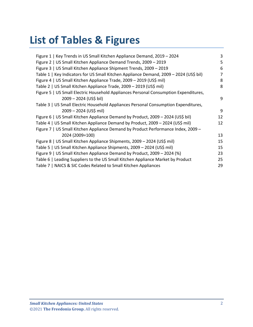# **List of Tables & Figures**

| Figure 1   Key Trends in US Small Kitchen Appliance Demand, 2019 - 2024                | 3  |
|----------------------------------------------------------------------------------------|----|
| Figure 2   US Small Kitchen Appliance Demand Trends, 2009 - 2019                       | 5  |
| Figure 3   US Small Kitchen Appliance Shipment Trends, 2009 - 2019                     | 6  |
| Table 1   Key Indicators for US Small Kitchen Appliance Demand, 2009 - 2024 (US\$ bil) | 7  |
| Figure 4   US Small Kitchen Appliance Trade, 2009 - 2019 (US\$ mil)                    | 8  |
| Table 2   US Small Kitchen Appliance Trade, 2009 - 2019 (US\$ mil)                     | 8  |
| Figure 5   US Small Electric Household Appliances Personal Consumption Expenditures,   |    |
| 2009 - 2024 (US\$ bil)                                                                 | 9  |
| Table 3   US Small Electric Household Appliances Personal Consumption Expenditures,    |    |
| 2009 - 2024 (US\$ mil)                                                                 | 9  |
| Figure 6   US Small Kitchen Appliance Demand by Product, 2009 - 2024 (US\$ bil)        | 12 |
| Table 4   US Small Kitchen Appliance Demand by Product, 2009 - 2024 (US\$ mil)         | 12 |
| Figure 7   US Small Kitchen Appliance Demand by Product Performance Index, 2009 -      |    |
| 2024 (2009=100)                                                                        | 13 |
| Figure 8   US Small Kitchen Appliance Shipments, 2009 - 2024 (US\$ mil)                | 15 |
| Table 5   US Small Kitchen Appliance Shipments, 2009 – 2024 (US\$ mil)                 | 15 |
| Figure 9   US Small Kitchen Appliance Demand by Product, 2009 - 2024 (%)               | 23 |
| Table 6   Leading Suppliers to the US Small Kitchen Appliance Market by Product        | 25 |
| Table 7   NAICS & SIC Codes Related to Small Kitchen Appliances                        | 29 |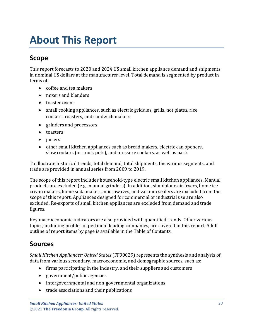# <span id="page-3-0"></span>**About This Report**

# <span id="page-3-1"></span>**Scope**

This report forecasts to 2020 and 2024 US small kitchen appliance demand and shipments in nominal US dollars at the manufacturer level. Total demand is segmented by product in terms of:

- coffee and tea makers
- mixers and blenders
- toaster ovens
- small cooking appliances, such as electric griddles, grills, hot plates, rice cookers, roasters, and sandwich makers
- grinders and processors
- toasters
- juicers
- other small kitchen appliances such as bread makers, electric can openers, slow cookers (or crock pots), and pressure cookers, as well as parts

To illustrate historical trends, total demand, total shipments, the various segments, and trade are provided in annual series from 2009 to 2019.

The scope of this report includes household-type electric small kitchen appliances. Manual products are excluded (e.g., manual grinders). In addition, standalone air fryers, home ice cream makers, home soda makers, microwaves, and vacuum sealers are excluded from the scope of this report. Appliances designed for commercial or industrial use are also excluded. Re-exports of small kitchen appliances are excluded from demand and trade figures.

Key macroeconomic indicators are also provided with quantified trends. Other various topics, including profiles of pertinent leading companies, are covered in this report. A full outline of report items by page is available in the Table of Contents.

### <span id="page-3-2"></span>**Sources**

*Small Kitchen Appliances: United States* (FF90029) represents the synthesis and analysis of data from various secondary, macroeconomic, and demographic sources, such as:

- firms participating in the industry, and their suppliers and customers
- government/public agencies
- intergovernmental and non-governmental organizations
- trade associations and their publications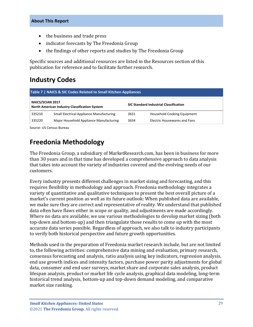- the business and trade press
- indicator forecasts by The Freedonia Group
- the findings of other reports and studies by The Freedonia Group

Specific sources and additional resources are listed in the Resources section of this publication for reference and to facilitate further research.

## <span id="page-4-0"></span>**Industry Codes**

<span id="page-4-2"></span>

| Table 7   NAICS & SIC Codes Related to Small Kitchen Appliances |                                                 |                                               |                                     |  |
|-----------------------------------------------------------------|-------------------------------------------------|-----------------------------------------------|-------------------------------------|--|
| <b>NAICS/SCIAN 2017</b>                                         | North American Industry Classification System   | <b>SIC Standard Industrial Classification</b> |                                     |  |
| 335210                                                          | <b>Small Electrical Appliance Manufacturing</b> | 3631                                          | <b>Household Cooking Equipment</b>  |  |
| 335220                                                          | Major Household Appliance Manufacturing         | 3634                                          | <b>Electric Housewares and Fans</b> |  |

Source: US Census Bureau

# <span id="page-4-1"></span>**Freedonia Methodology**

The Freedonia Group, a subsidiary of MarketResearch.com, has been in business for more than 30 years and in that time has developed a comprehensive approach to data analysis that takes into account the variety of industries covered and the evolving needs of our customers.

Every industry presents different challenges in market sizing and forecasting, and this requires flexibility in methodology and approach. Freedonia methodology integrates a variety of quantitative and qualitative techniques to present the best overall picture of a market's current position as well as its future outlook: When published data are available, we make sure they are correct and representative of reality. We understand that published data often have flaws either in scope or quality, and adjustments are made accordingly. Where no data are available, we use various methodologies to develop market sizing (both top-down and bottom-up) and then triangulate those results to come up with the most accurate data series possible. Regardless of approach, we also talk to industry participants to verify both historical perspective and future growth opportunities.

Methods used in the preparation of Freedonia market research include, but are not limited to, the following activities: comprehensive data mining and evaluation, primary research, consensus forecasting and analysis, ratio analysis using key indicators, regression analysis, end use growth indices and intensity factors, purchase power parity adjustments for global data, consumer and end user surveys, market share and corporate sales analysis, product lifespan analysis, product or market life cycle analysis, graphical data modeling, long-term historical trend analysis, bottom-up and top-down demand modeling, and comparative market size ranking.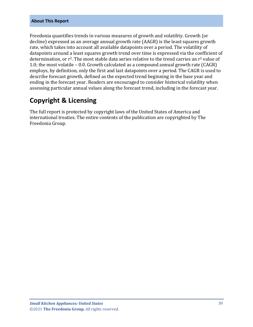#### **About This Report**

Freedonia quantifies trends in various measures of growth and volatility. Growth (or decline) expressed as an average annual growth rate (AAGR) is the least squares growth rate, which takes into account all available datapoints over a period. The volatility of datapoints around a least squares growth trend over time is expressed via the coefficient of determination, or  $r^2$ . The most stable data series relative to the trend carries an  $r^2$  value of 1.0; the most volatile – 0.0. Growth calculated as a compound annual growth rate (CAGR) employs, by definition, only the first and last datapoints over a period. The CAGR is used to describe forecast growth, defined as the expected trend beginning in the base year and ending in the forecast year. Readers are encouraged to consider historical volatility when assessing particular annual values along the forecast trend, including in the forecast year.

## **Copyright & Licensing**

The full report is protected by copyright laws of the United States of America and international treaties. The entire contents of the publication are copyrighted by The Freedonia Group.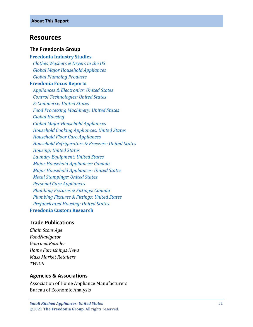#### <span id="page-6-0"></span>**Resources**

#### **The Freedonia Group**

**[Freedonia Industry Studies](http://www.freedoniagroup.com/Home.aspx?ReferrerId=FL-Focus)**  *[Clothes Washers & Dryers](http://www.freedoniagroup.com/DocumentDetails.aspx?ReferrerId=FL-FOCUS&studyid=3620) in the US [Global Major Household Appliances](http://www.freedoniagroup.com/DocumentDetails.aspx?ReferrerId=FL-FOCUS&studyid=3739) [Global Plumbing Products](http://www.freedoniagroup.com/DocumentDetails.aspx?ReferrerId=FL-FOCUS&studyid=3882)* **[Freedonia Focus Reports](https://www.freedoniafocusreports.com/redirect.asp?progid=89534&url=/)**  *[Appliances & Electronics: United States](https://www.freedoniafocusreports.com/Appliances-Electronics-United-States-FF90059/?progid=89534) [Control Technologies: United States](https://www.freedoniafocusreports.com/Control-Technologies-United-States-FF75016/?progid=89534) E [-Commerce: United States](https://www.freedoniafocusreports.com/E-Commerce-United-States-FF90043/?progid=89534) [Food Processing Machinery: United States](https://www.freedoniafocusreports.com/Food-Processing-Machinery-United-States-FF75029/?progid=89534) [Global Housing](https://www.freedoniafocusreports.com/Global-Housing-FW60024/?progid=89534) [Global Major Household Appliances](https://www.freedoniafocusreports.com/Global-Major-Household-Appliances-FW90017/?progid=89534) [Household Cooking Appliances: United States](https://www.freedoniafocusreports.com/Household-Cooking-Appliances-United-States-FF90026/?progid=89534) [Household Floor Care Appliances](https://www.freedoniafocusreports.com/Household-Floor-Care-Appliances-United-States-FF90022/?progid=89534) [Household Refrigerators & Freezers: United States](https://www.freedoniafocusreports.com/Household-Refrigerators-Freezers-United-States-FF90028/?progid=89534) [Housing: United States](https://www.freedoniafocusreports.com/Housing-United-States-FF60024/?progid=89534) [Laundry Equipment: United States](https://www.freedoniafocusreports.com/Laundry-Equipment-United-States-FF90027/?progid=89534) [Major Household Appliances: Canada](https://www.freedoniafocusreports.com/Major-Household-Appliances-Canada-FA90017/?progid=89534) [Major Household Appliances: United States](https://www.freedoniafocusreports.com/Major-Household-Appliances-United-States-FF90017/?progid=89534) [Metal Stampings: United States](https://www.freedoniafocusreports.com/Metal-Stampings-United-States-FF70014/?progid=89534) [Personal Care Appliances](https://www.freedoniafocusreports.com/Personal-Care-Appliances-United-States-FF90018/?progid=89534) [Plumbing Fixtures & Fittings: Canada](https://www.freedoniafocusreports.com/Plumbing-Fixtures-Fittings-Canada-FA60035/?progid=89534) [Plumbing Fixtures & Fittings: United States](https://www.freedoniafocusreports.com/Plumbing-Fixtures-Fittings-United-States-FF60035/?progid=89534) [Prefabricated Housing: United States](https://www.freedoniafocusreports.com/Prefabricated-Housing-United-States-FF60031/?progid=89534)* **[Freedonia Custom Research](http://www.freedoniagroup.com/CustomResearch.aspx?ReferrerId=FL-Focus)**

#### **Trade Publications**

*Chain Store Age FoodNavigator Gourmet Retailer Home Furnishings News Mass Market Retailers TWICE*

#### **Agencies & Associations**

Association of Home Appliance Manufacturers Bureau of Economic Analysis